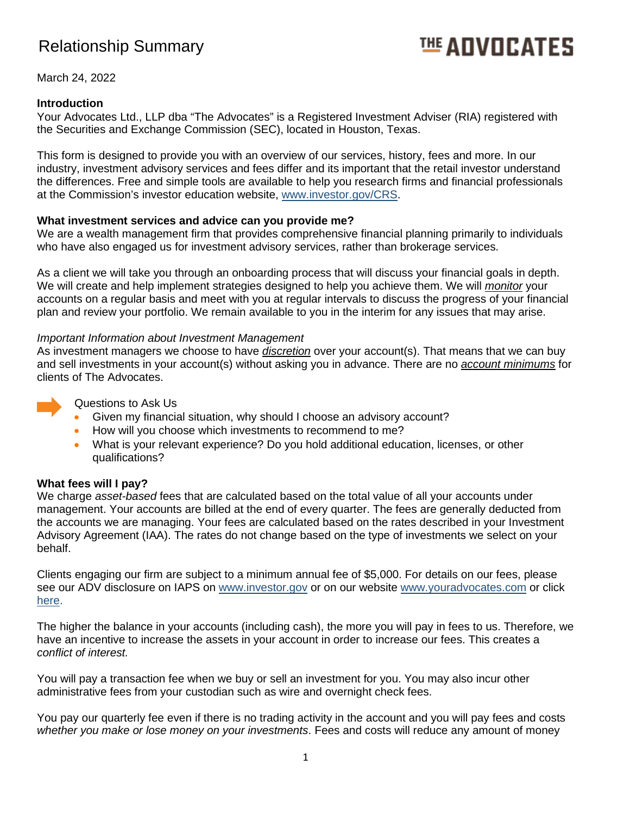# Relationship Summary

# **地ADVOCATES**

March 24, 2022

# **Introduction**

Your Advocates Ltd., LLP dba "The Advocates" is a Registered Investment Adviser (RIA) registered with the Securities and Exchange Commission (SEC), located in Houston, Texas.

This form is designed to provide you with an overview of our services, history, fees and more. In our industry, investment advisory services and fees differ and its important that the retail investor understand the differences. Free and simple tools are available to help you research firms and financial professionals at the Commission's investor education website, [www.investor.gov/CRS.](http://www.investor.gov/CRS)

### **What investment services and advice can you provide me?**

We are a wealth management firm that provides comprehensive financial planning primarily to individuals who have also engaged us for investment advisory services, rather than brokerage services.

As a client we will take you through an onboarding process that will discuss your financial goals in depth. We will create and help implement strategies designed to help you achieve them. We will *monitor* your accounts on a regular basis and meet with you at regular intervals to discuss the progress of your financial plan and review your portfolio. We remain available to you in the interim for any issues that may arise.

### *Important Information about Investment Management*

As investment managers we choose to have *discretion* over your account(s). That means that we can buy and sell investments in your account(s) without asking you in advance. There are no *account minimums* for clients of The Advocates.



Questions to Ask Us

- Given my financial situation, why should I choose an advisory account?
- How will you choose which investments to recommend to me?
- What is your relevant experience? Do you hold additional education, licenses, or other qualifications?

#### **What fees will I pay?**

We charge *asset-based* fees that are calculated based on the total value of all your accounts under management. Your accounts are billed at the end of every quarter. The fees are generally deducted from the accounts we are managing. Your fees are calculated based on the rates described in your Investment Advisory Agreement (IAA). The rates do not change based on the type of investments we select on your behalf.

Clients engaging our firm are subject to a minimum annual fee of \$5,000. For details on our fees, please see our ADV disclosure on IAPS on [www.investor.gov](http://www.investor.gov/) or on our website [www.youradvocates.com](http://www.youradvocates.com/) or click [here.](https://www.youradvocates.com/wp-content/uploads/2020_Form_ADV_Part_2A_-_B.pdf)

The higher the balance in your accounts (including cash), the more you will pay in fees to us. Therefore, we have an incentive to increase the assets in your account in order to increase our fees. This creates a *conflict of interest.*

You will pay a transaction fee when we buy or sell an investment for you. You may also incur other administrative fees from your custodian such as wire and overnight check fees.

You pay our quarterly fee even if there is no trading activity in the account and you will pay fees and costs *whether you make or lose money on your investments*. Fees and costs will reduce any amount of money